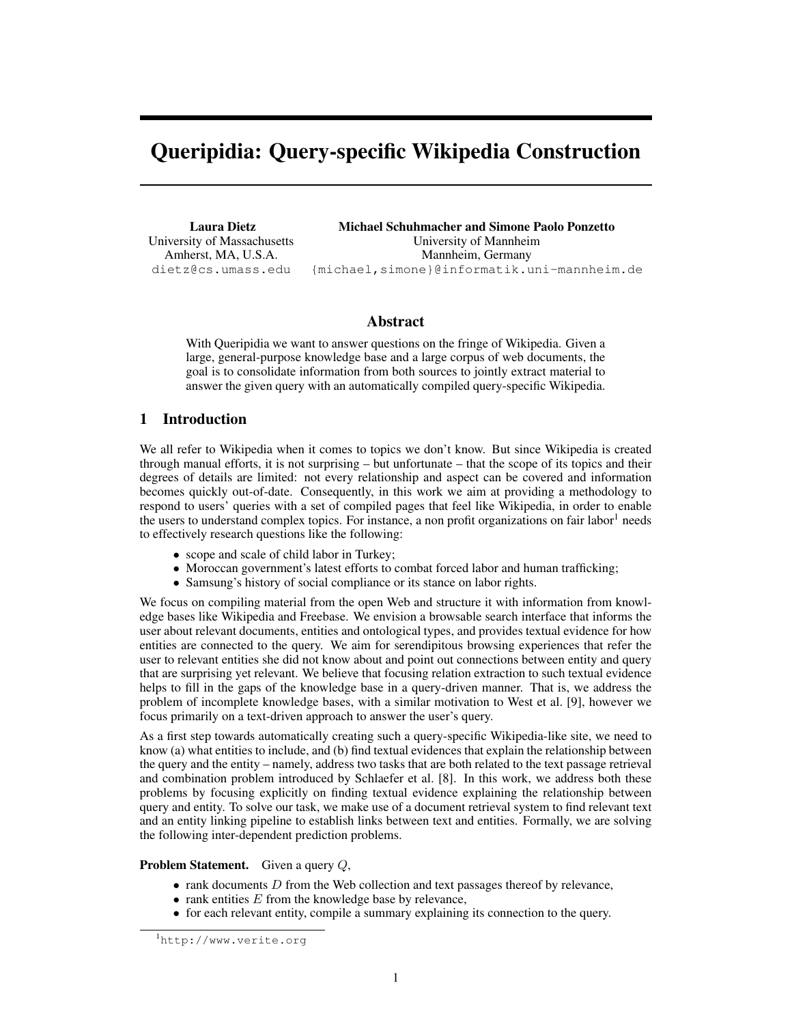# Queripidia: Query-specific Wikipedia Construction

Laura Dietz University of Massachusetts Amherst, MA, U.S.A. dietz@cs.umass.edu

Michael Schuhmacher and Simone Paolo Ponzetto University of Mannheim Mannheim, Germany {michael,simone}@informatik.uni-mannheim.de

## Abstract

With Queripidia we want to answer questions on the fringe of Wikipedia. Given a large, general-purpose knowledge base and a large corpus of web documents, the goal is to consolidate information from both sources to jointly extract material to answer the given query with an automatically compiled query-specific Wikipedia.

# 1 Introduction

We all refer to Wikipedia when it comes to topics we don't know. But since Wikipedia is created through manual efforts, it is not surprising – but unfortunate – that the scope of its topics and their degrees of details are limited: not every relationship and aspect can be covered and information becomes quickly out-of-date. Consequently, in this work we aim at providing a methodology to respond to users' queries with a set of compiled pages that feel like Wikipedia, in order to enable the users to understand complex topics. For instance, a non profit organizations on fair labor<sup>[1](#page-0-0)</sup> needs to effectively research questions like the following:

- scope and scale of child labor in Turkey;
- Moroccan government's latest efforts to combat forced labor and human trafficking;
- Samsung's history of social compliance or its stance on labor rights.

We focus on compiling material from the open Web and structure it with information from knowledge bases like Wikipedia and Freebase. We envision a browsable search interface that informs the user about relevant documents, entities and ontological types, and provides textual evidence for how entities are connected to the query. We aim for serendipitous browsing experiences that refer the user to relevant entities she did not know about and point out connections between entity and query that are surprising yet relevant. We believe that focusing relation extraction to such textual evidence helps to fill in the gaps of the knowledge base in a query-driven manner. That is, we address the problem of incomplete knowledge bases, with a similar motivation to West et al. [\[9\]](#page-4-0), however we focus primarily on a text-driven approach to answer the user's query.

As a first step towards automatically creating such a query-specific Wikipedia-like site, we need to know (a) what entities to include, and (b) find textual evidences that explain the relationship between the query and the entity – namely, address two tasks that are both related to the text passage retrieval and combination problem introduced by Schlaefer et al. [\[8\]](#page-4-1). In this work, we address both these problems by focusing explicitly on finding textual evidence explaining the relationship between query and entity. To solve our task, we make use of a document retrieval system to find relevant text and an entity linking pipeline to establish links between text and entities. Formally, we are solving the following inter-dependent prediction problems.

Problem Statement. Given a query Q,

- $\bullet$  rank documents  $D$  from the Web collection and text passages thereof by relevance,
- rank entities  $E$  from the knowledge base by relevance,
- for each relevant entity, compile a summary explaining its connection to the query.

<span id="page-0-0"></span><sup>1</sup><http://www.verite.org>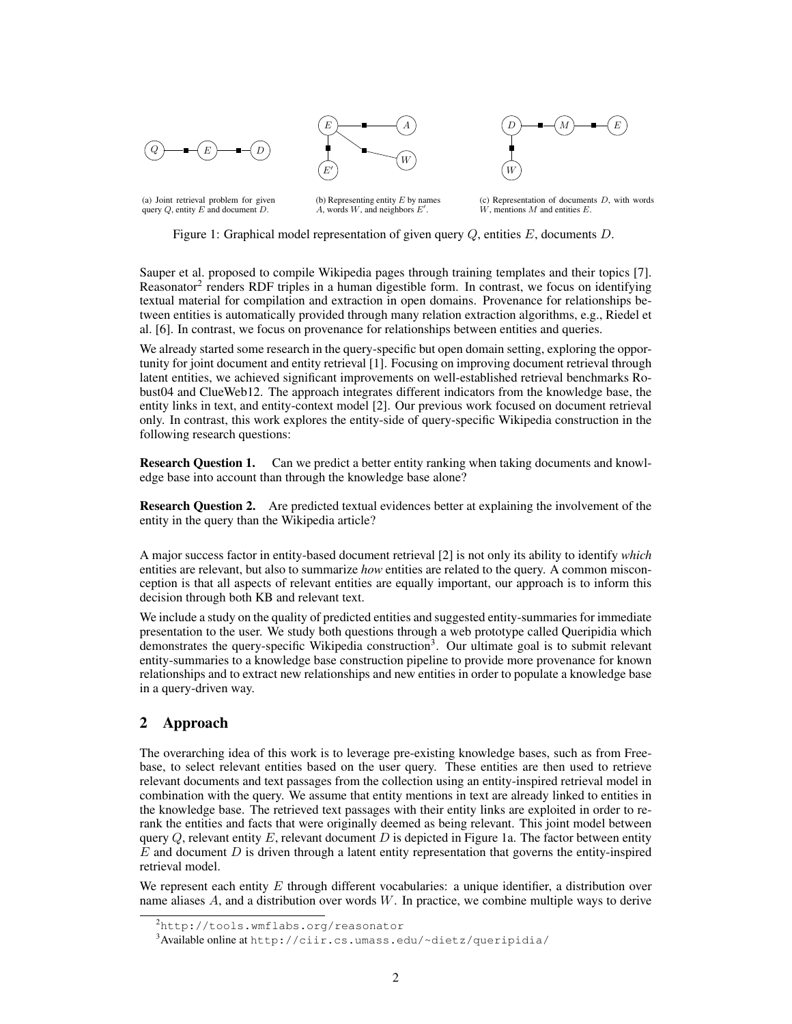

<span id="page-1-2"></span>



(a) Joint retrieval problem for given query  $Q$ , entity  $E$  and document  $D$ .

(b) Representing entity  $E$  by names  $A$ , words  $W$ , and neighbors  $E'$ .

 $(c)$  Representation of documents  $D$ , with words  $W$ , mentions  $M$  and entities  $E$ .

Figure 1: Graphical model representation of given query Q, entities E, documents D.

Sauper et al. proposed to compile Wikipedia pages through training templates and their topics [\[7\]](#page-4-2). Reasonator<sup>[2](#page-1-0)</sup> renders RDF triples in a human digestible form. In contrast, we focus on identifying textual material for compilation and extraction in open domains. Provenance for relationships between entities is automatically provided through many relation extraction algorithms, e.g., Riedel et al. [\[6\]](#page-4-3). In contrast, we focus on provenance for relationships between entities and queries.

We already started some research in the query-specific but open domain setting, exploring the opportunity for joint document and entity retrieval [\[1\]](#page-4-4). Focusing on improving document retrieval through latent entities, we achieved significant improvements on well-established retrieval benchmarks Robust04 and ClueWeb12. The approach integrates different indicators from the knowledge base, the entity links in text, and entity-context model [\[2\]](#page-4-5). Our previous work focused on document retrieval only. In contrast, this work explores the entity-side of query-specific Wikipedia construction in the following research questions:

**Research Question 1.** Can we predict a better entity ranking when taking documents and knowledge base into account than through the knowledge base alone?

Research Question 2. Are predicted textual evidences better at explaining the involvement of the entity in the query than the Wikipedia article?

A major success factor in entity-based document retrieval [\[2\]](#page-4-5) is not only its ability to identify *which* entities are relevant, but also to summarize *how* entities are related to the query. A common misconception is that all aspects of relevant entities are equally important, our approach is to inform this decision through both KB and relevant text.

We include a study on the quality of predicted entities and suggested entity-summaries for immediate presentation to the user. We study both questions through a web prototype called Queripidia which demonstrates the query-specific Wikipedia construction<sup>[3](#page-1-1)</sup>. Our ultimate goal is to submit relevant entity-summaries to a knowledge base construction pipeline to provide more provenance for known relationships and to extract new relationships and new entities in order to populate a knowledge base in a query-driven way.

# 2 Approach

The overarching idea of this work is to leverage pre-existing knowledge bases, such as from Freebase, to select relevant entities based on the user query. These entities are then used to retrieve relevant documents and text passages from the collection using an entity-inspired retrieval model in combination with the query. We assume that entity mentions in text are already linked to entities in the knowledge base. The retrieved text passages with their entity links are exploited in order to rerank the entities and facts that were originally deemed as being relevant. This joint model between query  $Q$ , relevant entity  $E$ , relevant document  $D$  is depicted in Figure [1a.](#page-1-2) The factor between entity  $E$  and document  $D$  is driven through a latent entity representation that governs the entity-inspired retrieval model.

We represent each entity  $E$  through different vocabularies: a unique identifier, a distribution over name aliases A, and a distribution over words W. In practice, we combine multiple ways to derive

<span id="page-1-0"></span><sup>&</sup>lt;sup>2</sup><http://tools.wmflabs.org/reasonator>

<span id="page-1-1"></span><sup>3</sup>Available online at <http://ciir.cs.umass.edu/~dietz/queripidia/>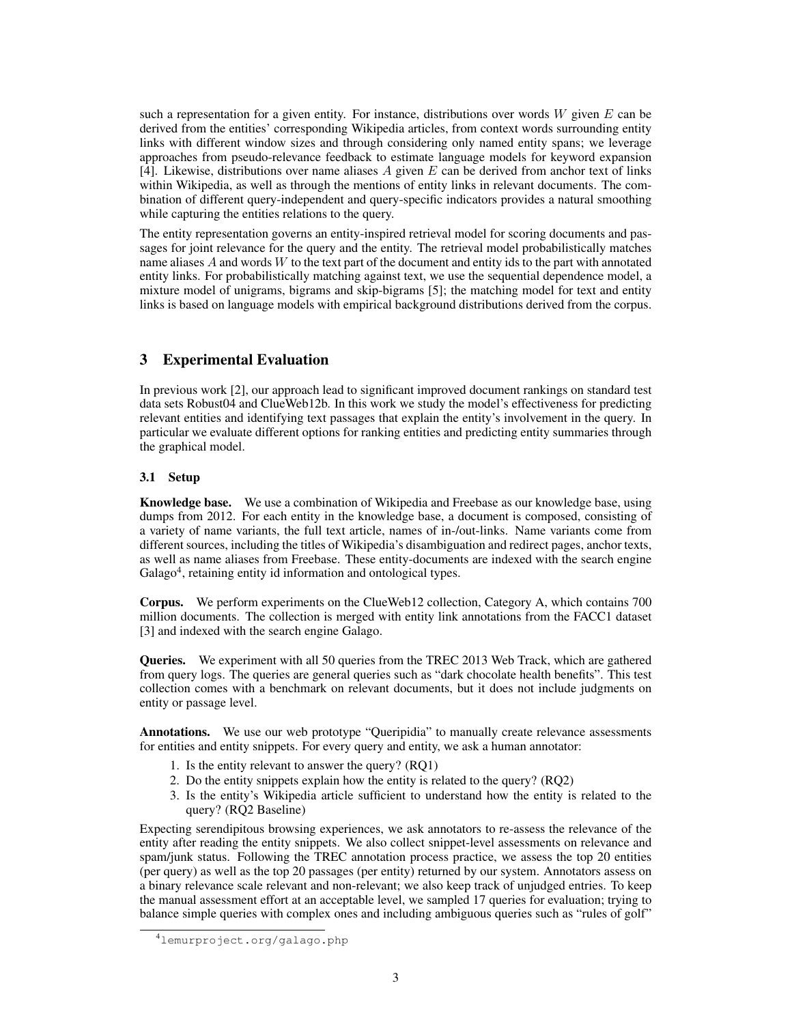such a representation for a given entity. For instance, distributions over words  $W$  given  $E$  can be derived from the entities' corresponding Wikipedia articles, from context words surrounding entity links with different window sizes and through considering only named entity spans; we leverage approaches from pseudo-relevance feedback to estimate language models for keyword expansion [\[4\]](#page-4-6). Likewise, distributions over name aliases  $A$  given  $E$  can be derived from anchor text of links within Wikipedia, as well as through the mentions of entity links in relevant documents. The combination of different query-independent and query-specific indicators provides a natural smoothing while capturing the entities relations to the query.

The entity representation governs an entity-inspired retrieval model for scoring documents and passages for joint relevance for the query and the entity. The retrieval model probabilistically matches name aliases A and words W to the text part of the document and entity ids to the part with annotated entity links. For probabilistically matching against text, we use the sequential dependence model, a mixture model of unigrams, bigrams and skip-bigrams [\[5\]](#page-4-7); the matching model for text and entity links is based on language models with empirical background distributions derived from the corpus.

# 3 Experimental Evaluation

In previous work [\[2\]](#page-4-5), our approach lead to significant improved document rankings on standard test data sets Robust04 and ClueWeb12b. In this work we study the model's effectiveness for predicting relevant entities and identifying text passages that explain the entity's involvement in the query. In particular we evaluate different options for ranking entities and predicting entity summaries through the graphical model.

## 3.1 Setup

Knowledge base. We use a combination of Wikipedia and Freebase as our knowledge base, using dumps from 2012. For each entity in the knowledge base, a document is composed, consisting of a variety of name variants, the full text article, names of in-/out-links. Name variants come from different sources, including the titles of Wikipedia's disambiguation and redirect pages, anchor texts, as well as name aliases from Freebase. These entity-documents are indexed with the search engine Galago<sup>[4](#page-2-0)</sup>, retaining entity id information and ontological types.

Corpus. We perform experiments on the ClueWeb12 collection, Category A, which contains 700 million documents. The collection is merged with entity link annotations from the FACC1 dataset [\[3\]](#page-4-8) and indexed with the search engine Galago.

Queries. We experiment with all 50 queries from the TREC 2013 Web Track, which are gathered from query logs. The queries are general queries such as "dark chocolate health benefits". This test collection comes with a benchmark on relevant documents, but it does not include judgments on entity or passage level.

Annotations. We use our web prototype "Queripidia" to manually create relevance assessments for entities and entity snippets. For every query and entity, we ask a human annotator:

- 1. Is the entity relevant to answer the query? (RQ1)
- 2. Do the entity snippets explain how the entity is related to the query? (RQ2)
- 3. Is the entity's Wikipedia article sufficient to understand how the entity is related to the query? (RQ2 Baseline)

Expecting serendipitous browsing experiences, we ask annotators to re-assess the relevance of the entity after reading the entity snippets. We also collect snippet-level assessments on relevance and spam/junk status. Following the TREC annotation process practice, we assess the top 20 entities (per query) as well as the top 20 passages (per entity) returned by our system. Annotators assess on a binary relevance scale relevant and non-relevant; we also keep track of unjudged entries. To keep the manual assessment effort at an acceptable level, we sampled 17 queries for evaluation; trying to balance simple queries with complex ones and including ambiguous queries such as "rules of golf"

<span id="page-2-0"></span><sup>4</sup><lemurproject.org/galago.php>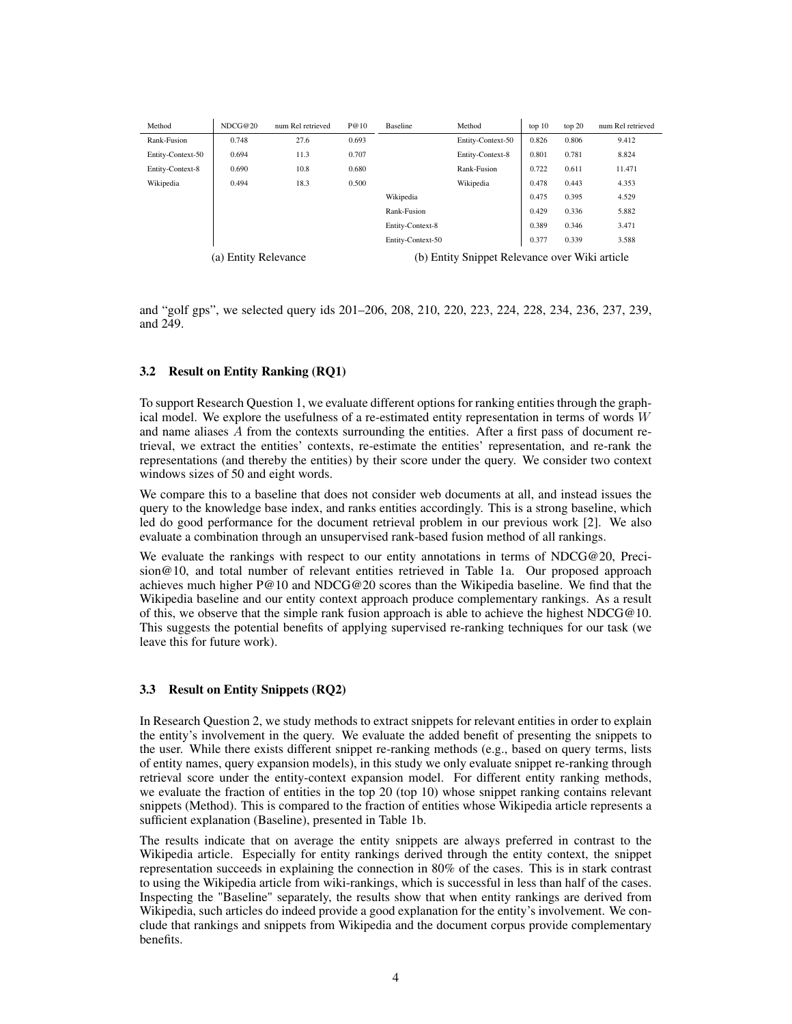<span id="page-3-1"></span><span id="page-3-0"></span>

| Method                        | NDCG@20 | num Rel retrieved | P@10                                           | Baseline          | Method            | top 10 | top 20 | num Rel retrieved |
|-------------------------------|---------|-------------------|------------------------------------------------|-------------------|-------------------|--------|--------|-------------------|
| Rank-Fusion                   | 0.748   | 27.6              | 0.693                                          |                   | Entity-Context-50 | 0.826  | 0.806  | 9.412             |
| Entity-Context-50             | 0.694   | 11.3              | 0.707                                          |                   | Entity-Context-8  | 0.801  | 0.781  | 8.824             |
| Entity-Context-8              | 0.690   | 10.8              | 0.680                                          |                   | Rank-Fusion       | 0.722  | 0.611  | 11.471            |
| Wikipedia                     | 0.494   | 18.3              | 0.500                                          |                   | Wikipedia         | 0.478  | 0.443  | 4.353             |
|                               |         |                   |                                                | Wikipedia         |                   | 0.475  | 0.395  | 4.529             |
|                               |         |                   |                                                | Rank-Fusion       |                   | 0.429  | 0.336  | 5.882             |
|                               |         |                   |                                                | Entity-Context-8  |                   | 0.389  | 0.346  | 3.471             |
|                               |         |                   |                                                | Entity-Context-50 |                   | 0.377  | 0.339  | 3.588             |
| <b>Entity Relevance</b><br>a) |         |                   | (b) Entity Snippet Relevance over Wiki article |                   |                   |        |        |                   |

and "golf gps", we selected query ids 201–206, 208, 210, 220, 223, 224, 228, 234, 236, 237, 239, and 249.

#### 3.2 Result on Entity Ranking (RQ1)

To support Research Question 1, we evaluate different options for ranking entities through the graphical model. We explore the usefulness of a re-estimated entity representation in terms of words  $W$ and name aliases A from the contexts surrounding the entities. After a first pass of document retrieval, we extract the entities' contexts, re-estimate the entities' representation, and re-rank the representations (and thereby the entities) by their score under the query. We consider two context windows sizes of 50 and eight words.

We compare this to a baseline that does not consider web documents at all, and instead issues the query to the knowledge base index, and ranks entities accordingly. This is a strong baseline, which led do good performance for the document retrieval problem in our previous work [\[2\]](#page-4-5). We also evaluate a combination through an unsupervised rank-based fusion method of all rankings.

We evaluate the rankings with respect to our entity annotations in terms of NDCG@20, Precision@10, and total number of relevant entities retrieved in Table [1a.](#page-3-0) Our proposed approach achieves much higher P@10 and NDCG@20 scores than the Wikipedia baseline. We find that the Wikipedia baseline and our entity context approach produce complementary rankings. As a result of this, we observe that the simple rank fusion approach is able to achieve the highest NDCG@10. This suggests the potential benefits of applying supervised re-ranking techniques for our task (we leave this for future work).

#### 3.3 Result on Entity Snippets (RQ2)

In Research Question 2, we study methods to extract snippets for relevant entities in order to explain the entity's involvement in the query. We evaluate the added benefit of presenting the snippets to the user. While there exists different snippet re-ranking methods (e.g., based on query terms, lists of entity names, query expansion models), in this study we only evaluate snippet re-ranking through retrieval score under the entity-context expansion model. For different entity ranking methods, we evaluate the fraction of entities in the top 20 (top 10) whose snippet ranking contains relevant snippets (Method). This is compared to the fraction of entities whose Wikipedia article represents a sufficient explanation (Baseline), presented in Table [1b.](#page-3-1)

The results indicate that on average the entity snippets are always preferred in contrast to the Wikipedia article. Especially for entity rankings derived through the entity context, the snippet representation succeeds in explaining the connection in 80% of the cases. This is in stark contrast to using the Wikipedia article from wiki-rankings, which is successful in less than half of the cases. Inspecting the "Baseline" separately, the results show that when entity rankings are derived from Wikipedia, such articles do indeed provide a good explanation for the entity's involvement. We conclude that rankings and snippets from Wikipedia and the document corpus provide complementary benefits.